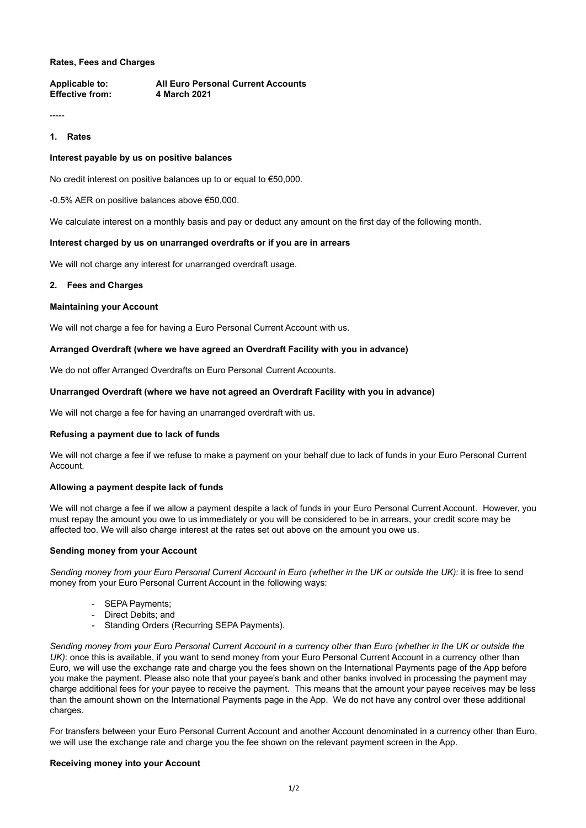## **Rates, Fees and Charges**

**Applicable to: All Euro Personal Current Accounts Effective from: 4 March 2021**

-----

# **1. Rates**

## **Interest payable by us on positive balances**

No credit interest on positive balances up to or equal to €50,000.

-0.5% AER on positive balances above €50,000.

We calculate interest on a monthly basis and pay or deduct any amount on the first day of the following month.

## **Interest charged by us on unarranged overdrafts or if you are in arrears**

We will not charge any interest for unarranged overdraft usage.

## **2. Fees and Charges**

#### **Maintaining your Account**

We will not charge a fee for having a Euro Personal Current Account with us.

## **Arranged Overdraft (where we have agreed an Overdraft Facility with you in advance)**

We do not offer Arranged Overdrafts on Euro Personal Current Accounts.

## **Unarranged Overdraft (where we have not agreed an Overdraft Facility with you in advance)**

We will not charge a fee for having an unarranged overdraft with us.

## **Refusing a payment due to lack of funds**

We will not charge a fee if we refuse to make a payment on your behalf due to lack of funds in your Euro Personal Current Account.

#### **Allowing a payment despite lack of funds**

We will not charge a fee if we allow a payment despite a lack of funds in your Euro Personal Current Account. However, you must repay the amount you owe to us immediately or you will be considered to be in arrears, your credit score may be affected too. We will also charge interest at the rates set out above on the amount you owe us.

#### **Sending money from your Account**

*Sending money from your Euro Personal Current Account in Euro (whether in the UK or outside the UK):* it is free to send money from your Euro Personal Current Account in the following ways:

- SEPA Payments;
- Direct Debits; and
- Standing Orders (Recurring SEPA Payments).

*Sending money from your Euro Personal Current Account in a currency other than Euro (whether in the UK or outside the UK*): once this is available, if you want to send money from your Euro Personal Current Account in a currency other than Euro, we will use the exchange rate and charge you the fees shown on the International Payments page of the App before you make the payment. Please also note that your payee's bank and other banks involved in processing the payment may charge additional fees for your payee to receive the payment. This means that the amount your payee receives may be less than the amount shown on the International Payments page in the App. We do not have any control over these additional charges.

For transfers between your Euro Personal Current Account and another Account denominated in a currency other than Euro, we will use the exchange rate and charge you the fee shown on the relevant payment screen in the App.

#### **Receiving money into your Account**